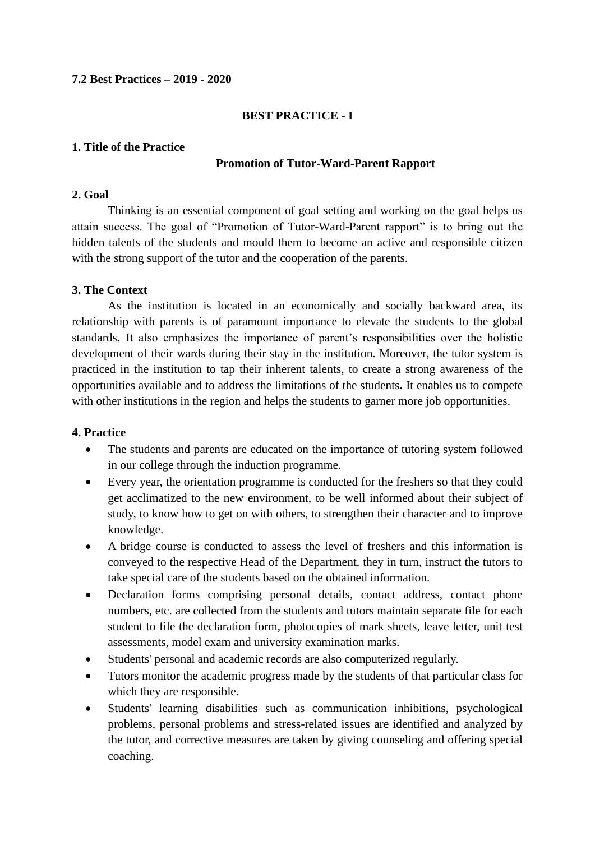### **7.2 Best Practices – 2019 - 2020**

### **BEST PRACTICE - I**

### **1. Title of the Practice**

### **Promotion of Tutor-Ward-Parent Rapport**

#### **2. Goal**

Thinking is an essential component of goal setting and working on the goal helps us attain success. The goal of "Promotion of Tutor-Ward-Parent rapport" is to bring out the hidden talents of the students and mould them to become an active and responsible citizen with the strong support of the tutor and the cooperation of the parents.

# **3. The Context**

As the institution is located in an economically and socially backward area, its relationship with parents is of paramount importance to elevate the students to the global standards**.** It also emphasizes the importance of parent's responsibilities over the holistic development of their wards during their stay in the institution. Moreover, the tutor system is practiced in the institution to tap their inherent talents, to create a strong awareness of the opportunities available and to address the limitations of the students**.** It enables us to compete with other institutions in the region and helps the students to garner more job opportunities.

# **4. Practice**

- The students and parents are educated on the importance of tutoring system followed in our college through the induction programme.
- Every year, the orientation programme is conducted for the freshers so that they could get acclimatized to the new environment, to be well informed about their subject of study, to know how to get on with others, to strengthen their character and to improve knowledge.
- A bridge course is conducted to assess the level of freshers and this information is conveyed to the respective Head of the Department, they in turn, instruct the tutors to take special care of the students based on the obtained information.
- Declaration forms comprising personal details, contact address, contact phone numbers, etc. are collected from the students and tutors maintain separate file for each student to file the declaration form, photocopies of mark sheets, leave letter, unit test assessments, model exam and university examination marks.
- Students' personal and academic records are also computerized regularly.
- Tutors monitor the academic progress made by the students of that particular class for which they are responsible.
- Students' learning disabilities such as communication inhibitions, psychological problems, personal problems and stress-related issues are identified and analyzed by the tutor, and corrective measures are taken by giving counseling and offering special coaching.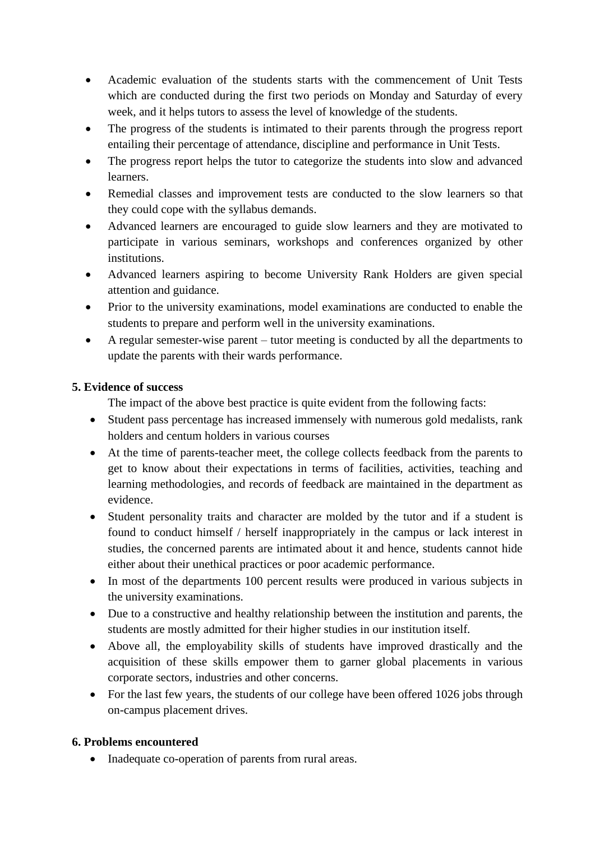- Academic evaluation of the students starts with the commencement of Unit Tests which are conducted during the first two periods on Monday and Saturday of every week, and it helps tutors to assess the level of knowledge of the students.
- The progress of the students is intimated to their parents through the progress report entailing their percentage of attendance, discipline and performance in Unit Tests.
- The progress report helps the tutor to categorize the students into slow and advanced learners.
- Remedial classes and improvement tests are conducted to the slow learners so that they could cope with the syllabus demands.
- Advanced learners are encouraged to guide slow learners and they are motivated to participate in various seminars, workshops and conferences organized by other institutions.
- Advanced learners aspiring to become University Rank Holders are given special attention and guidance.
- Prior to the university examinations, model examinations are conducted to enable the students to prepare and perform well in the university examinations.
- A regular semester-wise parent tutor meeting is conducted by all the departments to update the parents with their wards performance.

# **5. Evidence of success**

The impact of the above best practice is quite evident from the following facts:

- Student pass percentage has increased immensely with numerous gold medalists, rank holders and centum holders in various courses
- At the time of parents-teacher meet, the college collects feedback from the parents to get to know about their expectations in terms of facilities, activities, teaching and learning methodologies, and records of feedback are maintained in the department as evidence.
- Student personality traits and character are molded by the tutor and if a student is found to conduct himself / herself inappropriately in the campus or lack interest in studies, the concerned parents are intimated about it and hence, students cannot hide either about their unethical practices or poor academic performance.
- In most of the departments 100 percent results were produced in various subjects in the university examinations.
- Due to a constructive and healthy relationship between the institution and parents, the students are mostly admitted for their higher studies in our institution itself.
- Above all, the employability skills of students have improved drastically and the acquisition of these skills empower them to garner global placements in various corporate sectors, industries and other concerns.
- For the last few years, the students of our college have been offered 1026 jobs through on-campus placement drives.

# **6. Problems encountered**

• Inadequate co-operation of parents from rural areas.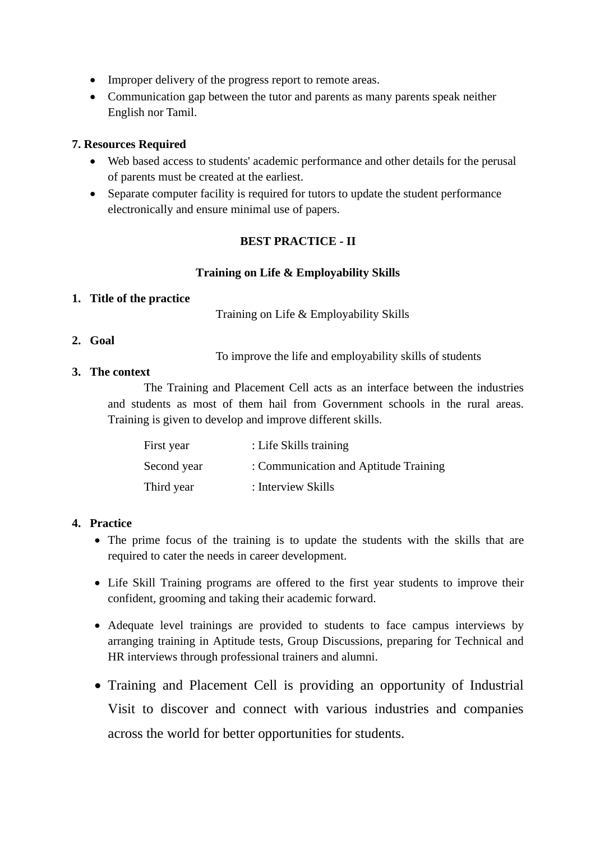- Improper delivery of the progress report to remote areas.
- Communication gap between the tutor and parents as many parents speak neither English nor Tamil.

### **7. Resources Required**

- Web based access to students' academic performance and other details for the perusal of parents must be created at the earliest.
- Separate computer facility is required for tutors to update the student performance electronically and ensure minimal use of papers.

# **BEST PRACTICE - II**

# **Training on Life & Employability Skills**

#### **1. Title of the practice**

Training on Life & Employability Skills

### **2. Goal**

To improve the life and employability skills of students

### **3. The context**

The Training and Placement Cell acts as an interface between the industries and students as most of them hail from Government schools in the rural areas. Training is given to develop and improve different skills.

| First year  | : Life Skills training                |
|-------------|---------------------------------------|
| Second year | : Communication and Aptitude Training |
| Third year  | : Interview Skills                    |

# **4. Practice**

- The prime focus of the training is to update the students with the skills that are required to cater the needs in career development.
- Life Skill Training programs are offered to the first year students to improve their confident, grooming and taking their academic forward.
- Adequate level trainings are provided to students to face campus interviews by arranging training in Aptitude tests, Group Discussions, preparing for Technical and HR interviews through professional trainers and alumni.
- Training and Placement Cell is providing an opportunity of Industrial Visit to discover and connect with various industries and companies across the world for better opportunities for students.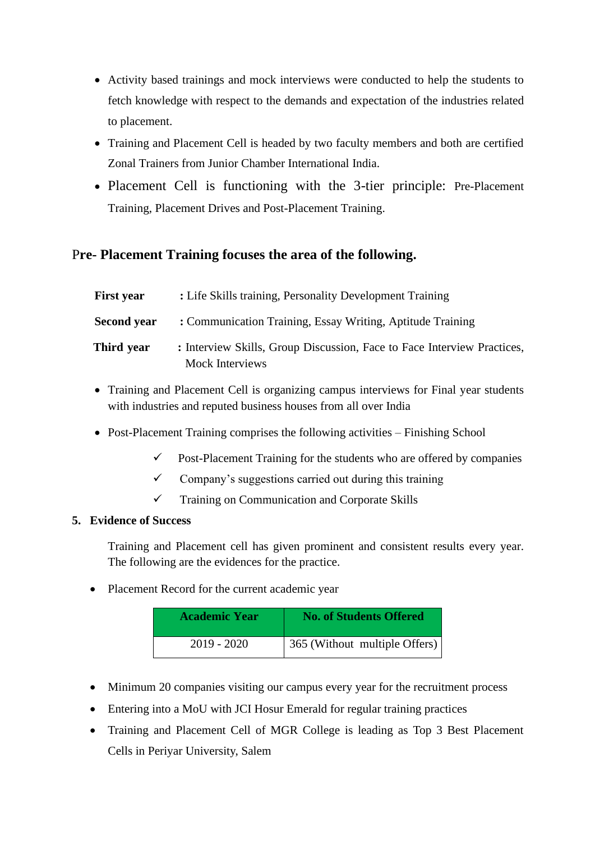- Activity based trainings and mock interviews were conducted to help the students to fetch knowledge with respect to the demands and expectation of the industries related to placement.
- Training and Placement Cell is headed by two faculty members and both are certified Zonal Trainers from Junior Chamber International India.
- Placement Cell is functioning with the 3-tier principle: Pre-Placement Training, Placement Drives and Post-Placement Training.

# P**re- Placement Training focuses the area of the following.**

| <b>First year</b> | : Life Skills training, Personality Development Training                                          |
|-------------------|---------------------------------------------------------------------------------------------------|
| Second year       | : Communication Training, Essay Writing, Aptitude Training                                        |
| Third year        | : Interview Skills, Group Discussion, Face to Face Interview Practices,<br><b>Mock Interviews</b> |

- Training and Placement Cell is organizing campus interviews for Final year students with industries and reputed business houses from all over India
- Post-Placement Training comprises the following activities Finishing School
	- $\checkmark$  Post-Placement Training for the students who are offered by companies
	- $\checkmark$  Company's suggestions carried out during this training
	- ✓ Training on Communication and Corporate Skills

# **5. Evidence of Success**

Training and Placement cell has given prominent and consistent results every year. The following are the evidences for the practice.

• Placement Record for the current academic year

| <b>Academic Year</b> | <b>No. of Students Offered</b> |
|----------------------|--------------------------------|
| 2019 - 2020          | 365 (Without multiple Offers)  |

- Minimum 20 companies visiting our campus every year for the recruitment process
- Entering into a MoU with JCI Hosur Emerald for regular training practices
- Training and Placement Cell of MGR College is leading as Top 3 Best Placement Cells in Periyar University, Salem